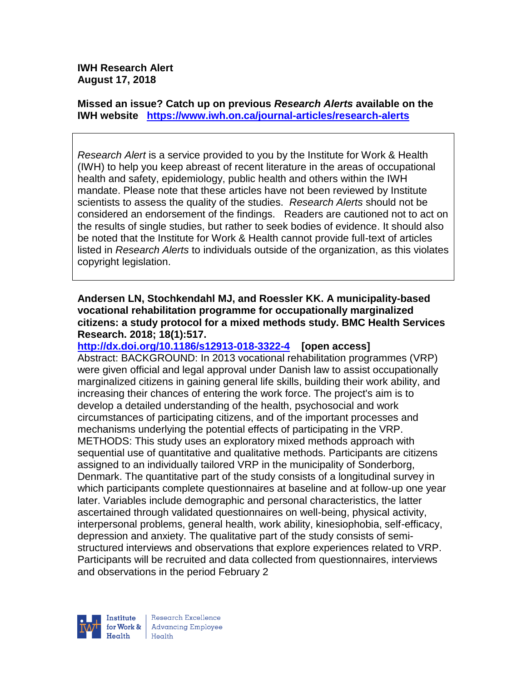#### **IWH Research Alert August 17, 2018**

**Missed an issue? Catch up on previous** *Research Alerts* **available on the [IWH website](http://www.iwh.on.ca/research-alerts) <https://www.iwh.on.ca/journal-articles/research-alerts>**

*Research Alert* is a service provided to you by the Institute for Work & Health (IWH) to help you keep abreast of recent literature in the areas of occupational health and safety, epidemiology, public health and others within the IWH mandate. Please note that these articles have not been reviewed by Institute scientists to assess the quality of the studies. *Research Alerts* should not be considered an endorsement of the findings. Readers are cautioned not to act on the results of single studies, but rather to seek bodies of evidence. It should also be noted that the Institute for Work & Health cannot provide full-text of articles listed in *Research Alerts* to individuals outside of the organization, as this violates copyright legislation.

#### **Andersen LN, Stochkendahl MJ, and Roessler KK. A municipality-based vocational rehabilitation programme for occupationally marginalized citizens: a study protocol for a mixed methods study. BMC Health Services Research. 2018; 18(1):517.**

**<http://dx.doi.org/10.1186/s12913-018-3322-4>[open access]** Abstract: BACKGROUND: In 2013 vocational rehabilitation programmes (VRP) were given official and legal approval under Danish law to assist occupationally marginalized citizens in gaining general life skills, building their work ability, and increasing their chances of entering the work force. The project's aim is to develop a detailed understanding of the health, psychosocial and work circumstances of participating citizens, and of the important processes and mechanisms underlying the potential effects of participating in the VRP. METHODS: This study uses an exploratory mixed methods approach with sequential use of quantitative and qualitative methods. Participants are citizens assigned to an individually tailored VRP in the municipality of Sonderborg, Denmark. The quantitative part of the study consists of a longitudinal survey in which participants complete questionnaires at baseline and at follow-up one year later. Variables include demographic and personal characteristics, the latter ascertained through validated questionnaires on well-being, physical activity, interpersonal problems, general health, work ability, kinesiophobia, self-efficacy, depression and anxiety. The qualitative part of the study consists of semistructured interviews and observations that explore experiences related to VRP. Participants will be recruited and data collected from questionnaires, interviews and observations in the period February 2



Research Excellence for Work & Advancing Employee  $H_{\text{each}}$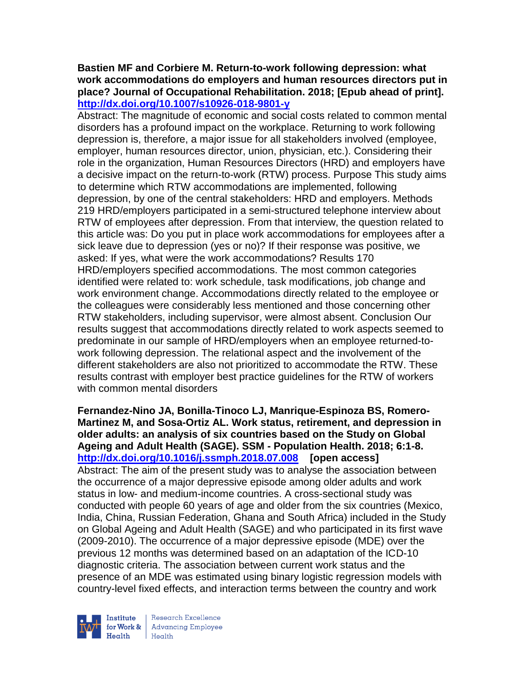#### **Bastien MF and Corbiere M. Return-to-work following depression: what work accommodations do employers and human resources directors put in place? Journal of Occupational Rehabilitation. 2018; [Epub ahead of print]. <http://dx.doi.org/10.1007/s10926-018-9801-y>**

Abstract: The magnitude of economic and social costs related to common mental disorders has a profound impact on the workplace. Returning to work following depression is, therefore, a major issue for all stakeholders involved (employee, employer, human resources director, union, physician, etc.). Considering their role in the organization, Human Resources Directors (HRD) and employers have a decisive impact on the return-to-work (RTW) process. Purpose This study aims to determine which RTW accommodations are implemented, following depression, by one of the central stakeholders: HRD and employers. Methods 219 HRD/employers participated in a semi-structured telephone interview about RTW of employees after depression. From that interview, the question related to this article was: Do you put in place work accommodations for employees after a sick leave due to depression (yes or no)? If their response was positive, we asked: If yes, what were the work accommodations? Results 170 HRD/employers specified accommodations. The most common categories identified were related to: work schedule, task modifications, job change and work environment change. Accommodations directly related to the employee or the colleagues were considerably less mentioned and those concerning other RTW stakeholders, including supervisor, were almost absent. Conclusion Our results suggest that accommodations directly related to work aspects seemed to predominate in our sample of HRD/employers when an employee returned-towork following depression. The relational aspect and the involvement of the different stakeholders are also not prioritized to accommodate the RTW. These results contrast with employer best practice guidelines for the RTW of workers with common mental disorders

**Fernandez-Nino JA, Bonilla-Tinoco LJ, Manrique-Espinoza BS, Romero-Martinez M, and Sosa-Ortiz AL. Work status, retirement, and depression in older adults: an analysis of six countries based on the Study on Global Ageing and Adult Health (SAGE). SSM - Population Health. 2018; 6:1-8. <http://dx.doi.org/10.1016/j.ssmph.2018.07.008>[open access]** Abstract: The aim of the present study was to analyse the association between the occurrence of a major depressive episode among older adults and work status in low- and medium-income countries. A cross-sectional study was conducted with people 60 years of age and older from the six countries (Mexico, India, China, Russian Federation, Ghana and South Africa) included in the Study on Global Ageing and Adult Health (SAGE) and who participated in its first wave (2009-2010). The occurrence of a major depressive episode (MDE) over the previous 12 months was determined based on an adaptation of the ICD-10 diagnostic criteria. The association between current work status and the presence of an MDE was estimated using binary logistic regression models with country-level fixed effects, and interaction terms between the country and work



Research Excellence **Institute** Research Excellence<br> **For Work &**<br>
Reduction Employee Health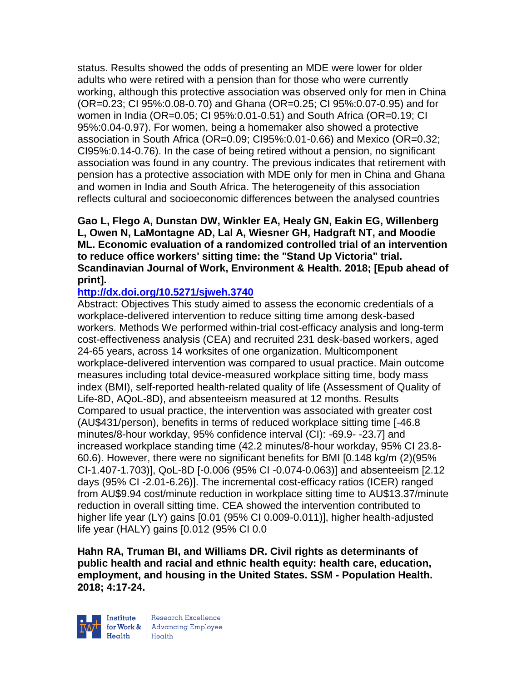status. Results showed the odds of presenting an MDE were lower for older adults who were retired with a pension than for those who were currently working, although this protective association was observed only for men in China (OR=0.23; CI 95%:0.08-0.70) and Ghana (OR=0.25; CI 95%:0.07-0.95) and for women in India (OR=0.05; CI 95%:0.01-0.51) and South Africa (OR=0.19; CI 95%:0.04-0.97). For women, being a homemaker also showed a protective association in South Africa (OR=0.09; CI95%:0.01-0.66) and Mexico (OR=0.32; CI95%:0.14-0.76). In the case of being retired without a pension, no significant association was found in any country. The previous indicates that retirement with pension has a protective association with MDE only for men in China and Ghana and women in India and South Africa. The heterogeneity of this association reflects cultural and socioeconomic differences between the analysed countries

**Gao L, Flego A, Dunstan DW, Winkler EA, Healy GN, Eakin EG, Willenberg L, Owen N, LaMontagne AD, Lal A, Wiesner GH, Hadgraft NT, and Moodie ML. Economic evaluation of a randomized controlled trial of an intervention to reduce office workers' sitting time: the "Stand Up Victoria" trial. Scandinavian Journal of Work, Environment & Health. 2018; [Epub ahead of print].**

# **<http://dx.doi.org/10.5271/sjweh.3740>**

Abstract: Objectives This study aimed to assess the economic credentials of a workplace-delivered intervention to reduce sitting time among desk-based workers. Methods We performed within-trial cost-efficacy analysis and long-term cost-effectiveness analysis (CEA) and recruited 231 desk-based workers, aged 24-65 years, across 14 worksites of one organization. Multicomponent workplace-delivered intervention was compared to usual practice. Main outcome measures including total device-measured workplace sitting time, body mass index (BMI), self-reported health-related quality of life (Assessment of Quality of Life-8D, AQoL-8D), and absenteeism measured at 12 months. Results Compared to usual practice, the intervention was associated with greater cost (AU\$431/person), benefits in terms of reduced workplace sitting time [-46.8 minutes/8-hour workday, 95% confidence interval (CI): -69.9- -23.7] and increased workplace standing time (42.2 minutes/8-hour workday, 95% CI 23.8- 60.6). However, there were no significant benefits for BMI [0.148 kg/m (2)(95% CI-1.407-1.703)], QoL-8D [-0.006 (95% CI -0.074-0.063)] and absenteeism [2.12 days (95% CI -2.01-6.26)]. The incremental cost-efficacy ratios (ICER) ranged from AU\$9.94 cost/minute reduction in workplace sitting time to AU\$13.37/minute reduction in overall sitting time. CEA showed the intervention contributed to higher life year (LY) gains [0.01 (95% CI 0.009-0.011)], higher health-adjusted life year (HALY) gains [0.012 (95% CI 0.0

**Hahn RA, Truman BI, and Williams DR. Civil rights as determinants of public health and racial and ethnic health equity: health care, education, employment, and housing in the United States. SSM - Population Health. 2018; 4:17-24.** 



Research Excellence for Work & | Advancing Employee Health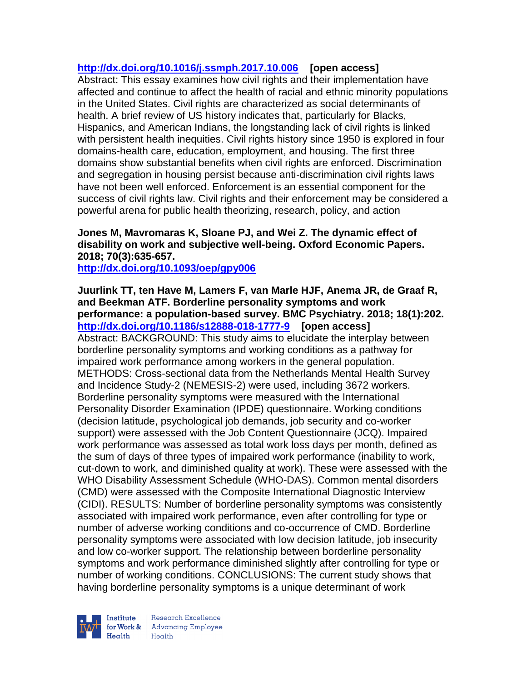### **<http://dx.doi.org/10.1016/j.ssmph.2017.10.006>[open access]**

Abstract: This essay examines how civil rights and their implementation have affected and continue to affect the health of racial and ethnic minority populations in the United States. Civil rights are characterized as social determinants of health. A brief review of US history indicates that, particularly for Blacks, Hispanics, and American Indians, the longstanding lack of civil rights is linked with persistent health inequities. Civil rights history since 1950 is explored in four domains-health care, education, employment, and housing. The first three domains show substantial benefits when civil rights are enforced. Discrimination and segregation in housing persist because anti-discrimination civil rights laws have not been well enforced. Enforcement is an essential component for the success of civil rights law. Civil rights and their enforcement may be considered a powerful arena for public health theorizing, research, policy, and action

### **Jones M, Mavromaras K, Sloane PJ, and Wei Z. The dynamic effect of disability on work and subjective well-being. Oxford Economic Papers. 2018; 70(3):635-657.**

**<http://dx.doi.org/10.1093/oep/gpy006>**

**Juurlink TT, ten Have M, Lamers F, van Marle HJF, Anema JR, de Graaf R, and Beekman ATF. Borderline personality symptoms and work performance: a population-based survey. BMC Psychiatry. 2018; 18(1):202. <http://dx.doi.org/10.1186/s12888-018-1777-9>[open access]** Abstract: BACKGROUND: This study aims to elucidate the interplay between borderline personality symptoms and working conditions as a pathway for impaired work performance among workers in the general population. METHODS: Cross-sectional data from the Netherlands Mental Health Survey and Incidence Study-2 (NEMESIS-2) were used, including 3672 workers. Borderline personality symptoms were measured with the International Personality Disorder Examination (IPDE) questionnaire. Working conditions (decision latitude, psychological job demands, job security and co-worker support) were assessed with the Job Content Questionnaire (JCQ). Impaired work performance was assessed as total work loss days per month, defined as the sum of days of three types of impaired work performance (inability to work, cut-down to work, and diminished quality at work). These were assessed with the WHO Disability Assessment Schedule (WHO-DAS). Common mental disorders (CMD) were assessed with the Composite International Diagnostic Interview (CIDI). RESULTS: Number of borderline personality symptoms was consistently associated with impaired work performance, even after controlling for type or number of adverse working conditions and co-occurrence of CMD. Borderline personality symptoms were associated with low decision latitude, job insecurity and low co-worker support. The relationship between borderline personality symptoms and work performance diminished slightly after controlling for type or number of working conditions. CONCLUSIONS: The current study shows that having borderline personality symptoms is a unique determinant of work



Research Excellence **Institute** Research Excellence<br> **For Work &**<br>
Morth Harlth Harlth  $H_{\text{eath}}$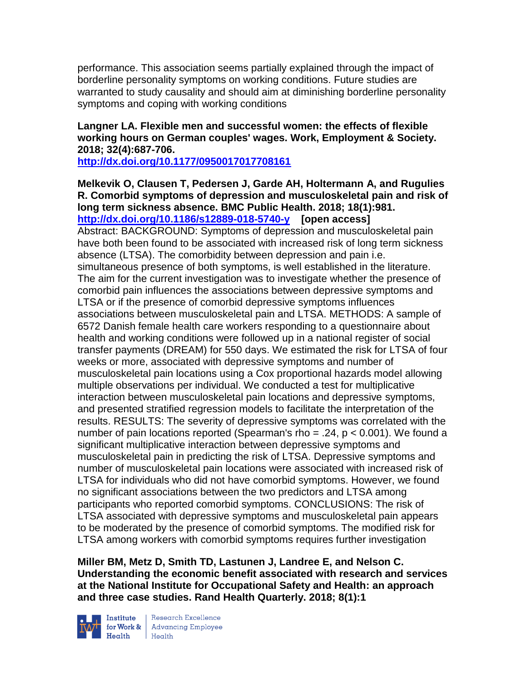performance. This association seems partially explained through the impact of borderline personality symptoms on working conditions. Future studies are warranted to study causality and should aim at diminishing borderline personality symptoms and coping with working conditions

#### **Langner LA. Flexible men and successful women: the effects of flexible working hours on German couples' wages. Work, Employment & Society. 2018; 32(4):687-706.**

**<http://dx.doi.org/10.1177/0950017017708161>**

**Melkevik O, Clausen T, Pedersen J, Garde AH, Holtermann A, and Rugulies R. Comorbid symptoms of depression and musculoskeletal pain and risk of long term sickness absence. BMC Public Health. 2018; 18(1):981. <http://dx.doi.org/10.1186/s12889-018-5740-y>[open access]** Abstract: BACKGROUND: Symptoms of depression and musculoskeletal pain have both been found to be associated with increased risk of long term sickness absence (LTSA). The comorbidity between depression and pain i.e. simultaneous presence of both symptoms, is well established in the literature. The aim for the current investigation was to investigate whether the presence of comorbid pain influences the associations between depressive symptoms and LTSA or if the presence of comorbid depressive symptoms influences associations between musculoskeletal pain and LTSA. METHODS: A sample of 6572 Danish female health care workers responding to a questionnaire about health and working conditions were followed up in a national register of social transfer payments (DREAM) for 550 days. We estimated the risk for LTSA of four weeks or more, associated with depressive symptoms and number of musculoskeletal pain locations using a Cox proportional hazards model allowing multiple observations per individual. We conducted a test for multiplicative interaction between musculoskeletal pain locations and depressive symptoms, and presented stratified regression models to facilitate the interpretation of the results. RESULTS: The severity of depressive symptoms was correlated with the number of pain locations reported (Spearman's rho = .24, p < 0.001). We found a significant multiplicative interaction between depressive symptoms and musculoskeletal pain in predicting the risk of LTSA. Depressive symptoms and number of musculoskeletal pain locations were associated with increased risk of LTSA for individuals who did not have comorbid symptoms. However, we found no significant associations between the two predictors and LTSA among participants who reported comorbid symptoms. CONCLUSIONS: The risk of LTSA associated with depressive symptoms and musculoskeletal pain appears to be moderated by the presence of comorbid symptoms. The modified risk for LTSA among workers with comorbid symptoms requires further investigation

**Miller BM, Metz D, Smith TD, Lastunen J, Landree E, and Nelson C. Understanding the economic benefit associated with research and services at the National Institute for Occupational Safety and Health: an approach and three case studies. Rand Health Quarterly. 2018; 8(1):1**



Institute Research Excellence<br>
for Work & Advancing Employee<br>
Health<br>
Health  $Heath$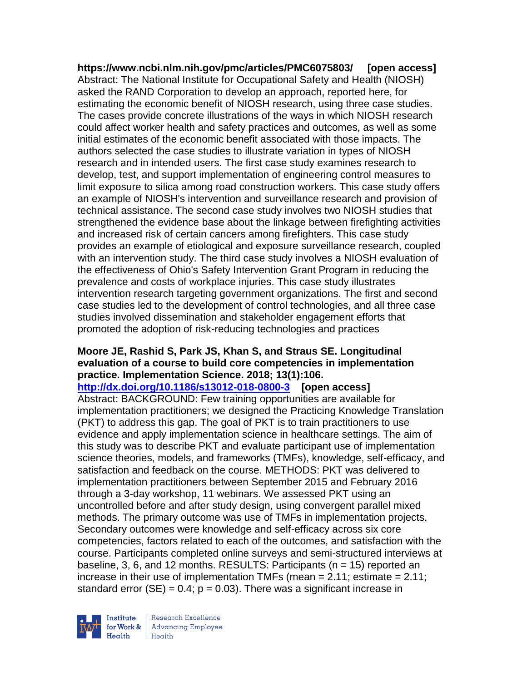**<https://www.ncbi.nlm.nih.gov/pmc/articles/PMC6075803/>[open access]** Abstract: The National Institute for Occupational Safety and Health (NIOSH) asked the RAND Corporation to develop an approach, reported here, for estimating the economic benefit of NIOSH research, using three case studies. The cases provide concrete illustrations of the ways in which NIOSH research could affect worker health and safety practices and outcomes, as well as some initial estimates of the economic benefit associated with those impacts. The authors selected the case studies to illustrate variation in types of NIOSH research and in intended users. The first case study examines research to develop, test, and support implementation of engineering control measures to limit exposure to silica among road construction workers. This case study offers an example of NIOSH's intervention and surveillance research and provision of technical assistance. The second case study involves two NIOSH studies that strengthened the evidence base about the linkage between firefighting activities and increased risk of certain cancers among firefighters. This case study provides an example of etiological and exposure surveillance research, coupled with an intervention study. The third case study involves a NIOSH evaluation of the effectiveness of Ohio's Safety Intervention Grant Program in reducing the prevalence and costs of workplace injuries. This case study illustrates intervention research targeting government organizations. The first and second case studies led to the development of control technologies, and all three case studies involved dissemination and stakeholder engagement efforts that promoted the adoption of risk-reducing technologies and practices

### **Moore JE, Rashid S, Park JS, Khan S, and Straus SE. Longitudinal evaluation of a course to build core competencies in implementation practice. Implementation Science. 2018; 13(1):106.**

**<http://dx.doi.org/10.1186/s13012-018-0800-3>[open access]** Abstract: BACKGROUND: Few training opportunities are available for implementation practitioners; we designed the Practicing Knowledge Translation (PKT) to address this gap. The goal of PKT is to train practitioners to use evidence and apply implementation science in healthcare settings. The aim of this study was to describe PKT and evaluate participant use of implementation science theories, models, and frameworks (TMFs), knowledge, self-efficacy, and satisfaction and feedback on the course. METHODS: PKT was delivered to implementation practitioners between September 2015 and February 2016 through a 3-day workshop, 11 webinars. We assessed PKT using an uncontrolled before and after study design, using convergent parallel mixed methods. The primary outcome was use of TMFs in implementation projects. Secondary outcomes were knowledge and self-efficacy across six core competencies, factors related to each of the outcomes, and satisfaction with the course. Participants completed online surveys and semi-structured interviews at baseline, 3, 6, and 12 months. RESULTS: Participants ( $n = 15$ ) reported an increase in their use of implementation TMFs (mean  $= 2.11$ ; estimate  $= 2.11$ ; standard error  $(SE) = 0.4$ ;  $p = 0.03$ ). There was a significant increase in



Research Excellence for Work & | Advancing Employee Health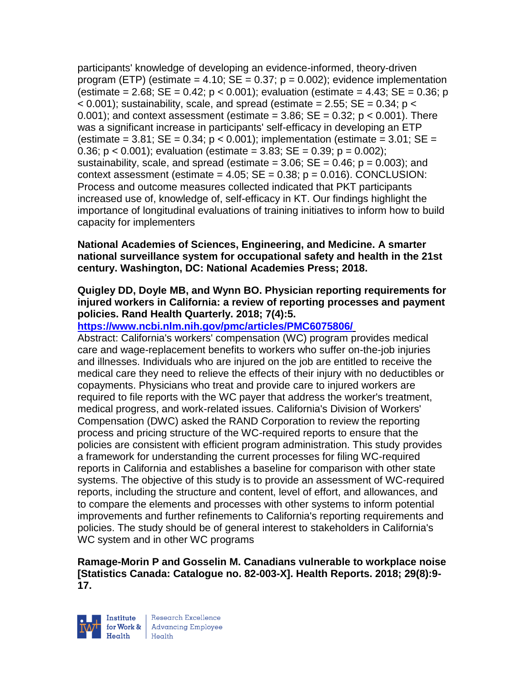participants' knowledge of developing an evidence-informed, theory-driven program (ETP) (estimate = 4.10;  $SE = 0.37$ ;  $p = 0.002$ ); evidence implementation (estimate = 2.68; SE = 0.42;  $p < 0.001$ ); evaluation (estimate = 4.43; SE = 0.36; p  $<$  0.001); sustainability, scale, and spread (estimate = 2.55; SE = 0.34; p  $<$  $0.001$ ; and context assessment (estimate =  $3.86$ ; SE =  $0.32$ ; p <  $0.001$ ). There was a significant increase in participants' self-efficacy in developing an ETP (estimate =  $3.81$ ; SE =  $0.34$ ; p <  $0.001$ ); implementation (estimate =  $3.01$ ; SE = 0.36;  $p < 0.001$ ); evaluation (estimate = 3.83; SE = 0.39;  $p = 0.002$ ); sustainability, scale, and spread (estimate  $= 3.06$ ; SE  $= 0.46$ ; p  $= 0.003$ ); and context assessment (estimate =  $4.05$ ; SE =  $0.38$ ; p =  $0.016$ ). CONCLUSION: Process and outcome measures collected indicated that PKT participants increased use of, knowledge of, self-efficacy in KT. Our findings highlight the importance of longitudinal evaluations of training initiatives to inform how to build capacity for implementers

#### **National Academies of Sciences, Engineering, and Medicine. A smarter national surveillance system for occupational safety and health in the 21st century. Washington, DC: National Academies Press; 2018.**

### **Quigley DD, Doyle MB, and Wynn BO. Physician reporting requirements for injured workers in California: a review of reporting processes and payment policies. Rand Health Quarterly. 2018; 7(4):5.**

## **<https://www.ncbi.nlm.nih.gov/pmc/articles/PMC6075806/>**

Abstract: California's workers' compensation (WC) program provides medical care and wage-replacement benefits to workers who suffer on-the-job injuries and illnesses. Individuals who are injured on the job are entitled to receive the medical care they need to relieve the effects of their injury with no deductibles or copayments. Physicians who treat and provide care to injured workers are required to file reports with the WC payer that address the worker's treatment, medical progress, and work-related issues. California's Division of Workers' Compensation (DWC) asked the RAND Corporation to review the reporting process and pricing structure of the WC-required reports to ensure that the policies are consistent with efficient program administration. This study provides a framework for understanding the current processes for filing WC-required reports in California and establishes a baseline for comparison with other state systems. The objective of this study is to provide an assessment of WC-required reports, including the structure and content, level of effort, and allowances, and to compare the elements and processes with other systems to inform potential improvements and further refinements to California's reporting requirements and policies. The study should be of general interest to stakeholders in California's WC system and in other WC programs

### **Ramage-Morin P and Gosselin M. Canadians vulnerable to workplace noise [Statistics Canada: Catalogue no. 82-003-X]. Health Reports. 2018; 29(8):9- 17.**



| Research Excellence for Work & Advancing Employee<br>Health Health